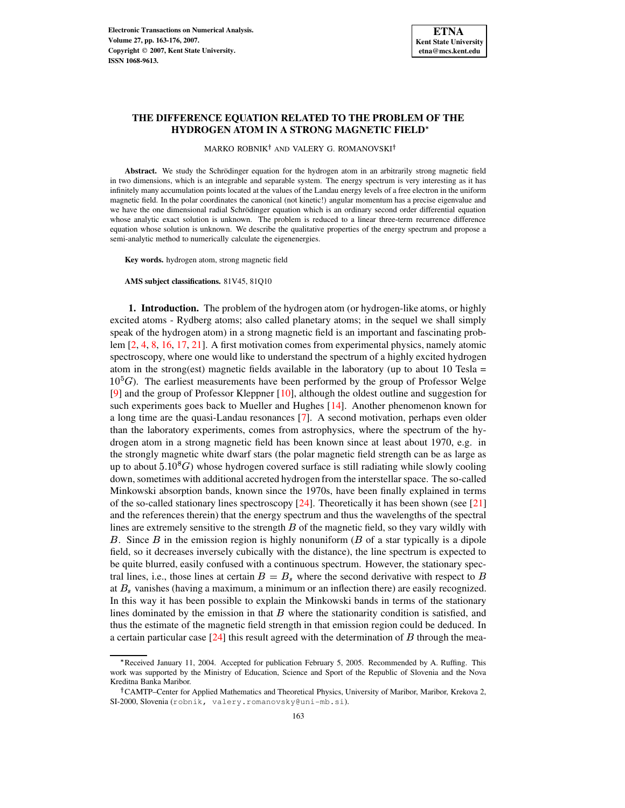# **THE DIFFERENCE EQUATION RELATED TO THE PROBLEM OF THE HYDROGEN ATOM IN A STRONG MAGNETIC FIELD**

MARKO ROBNIK<sup>†</sup> AND VALERY G. ROMANOVSKI<sup>†</sup>

Abstract. We study the Schrödinger equation for the hydrogen atom in an arbitrarily strong magnetic field in two dimensions, which is an integrable and separable system. The energy spectrum is very interesting as it has infinitely many accumulation points located at the values of the Landau energy levels of a free electron in the uniform magnetic field. In the polar coordinates the canonical (not kinetic!) angular momentum has a precise eigenvalue and we have the one dimensional radial Schrödinger equation which is an ordinary second order differential equation whose analytic exact solution is unknown. The problem is reduced to a linear three-term recurrence difference equation whose solution is unknown. We describe the qualitative properties of the energy spectrum and propose a semi-analytic method to numerically calculate the eigenenergies.

**Key words.** hydrogen atom, strong magnetic field

**AMS subject classifications.** 81V45, 81Q10

**1. Introduction.** The problem of the hydrogen atom (or hydrogen-like atoms, or highly excited atoms - Rydberg atoms; also called planetary atoms; in the sequel we shall simply speak of the hydrogen atom) in a strong magnetic field is an important and fascinating problem [\[2,](#page-13-0) [4,](#page-13-1) [8,](#page-13-2) [16,](#page-13-3) [17,](#page-13-4) [21\]](#page-13-5). A first motivation comes from experimental physics, namely atomic spectroscopy, where one would like to understand the spectrum of a highly excited hydrogen atom in the strong(est) magnetic fields available in the laboratory (up to about 10 Tesla  $=$  $10^{5}$ G). The earliest measurements have been performed by the group of Professor Welge [\[9\]](#page-13-6) and the group of Professor Kleppner [\[10\]](#page-13-7), although the oldest outline and suggestion for such experiments goes back to Mueller and Hughes [\[14\]](#page-13-8). Another phenomenon known for a long time are the quasi-Landau resonances [\[7\]](#page-13-9). A second motivation, perhaps even older than the laboratory experiments, comes from astrophysics, where the spectrum of the hydrogen atom in a strong magnetic field has been known since at least about 1970, e.g. in the strongly magnetic white dwarf stars (the polar magnetic field strength can be as large as up to about  $5.10<sup>8</sup>G$ ) whose hydrogen covered surface is still radiating while slowly cooling down, sometimes with additional accreted hydrogen from the interstellar space. The so-called Minkowski absorption bands, known since the 1970s, have been finally explained in terms of the so-called stationary lines spectroscopy  $[24]$ . Theoretically it has been shown (see  $[21]$ ) and the references therein) that the energy spectrum and thus the wavelengths of the spectral lines are extremely sensitive to the strength  $B$  of the magnetic field, so they vary wildly with B. Since  $\hat{B}$  in the emission region is highly nonuniform ( $\hat{B}$  of a star typically is a dipole field, so it decreases inversely cubically with the distance), the line spectrum is expected to be quite blurred, easily confused with a continuous spectrum. However, the stationary spectral lines, i.e., those lines at certain  $B = B<sub>s</sub>$  where the second derivative with respect to B at  $B<sub>s</sub>$  vanishes (having a maximum, a minimum or an inflection there) are easily recognized. In this way it has been possible to explain the Minkowski bands in terms of the stationary lines dominated by the emission in that  $B$  where the stationarity condition is satisfied, and thus the estimate of the magnetic field strength in that emission region could be deduced. In a certain particular case  $[24]$  this result agreed with the determination of  $B$  through the mea-

<sup>\*</sup> Received January 11, 2004. Accepted for publication February 5, 2005. Recommended by A. Ruffing. This work was supported by the Ministry of Education, Science and Sport of the Republic of Slovenia and the Nova Kreditna Banka Maribor.

<sup>&</sup>lt;sup>†</sup>CAMTP–Center for Applied Mathematics and Theoretical Physics, University of Maribor, Maribor, Krekova 2, SI-2000, Slovenia (robnik, valery.romanovsky@uni-mb.si).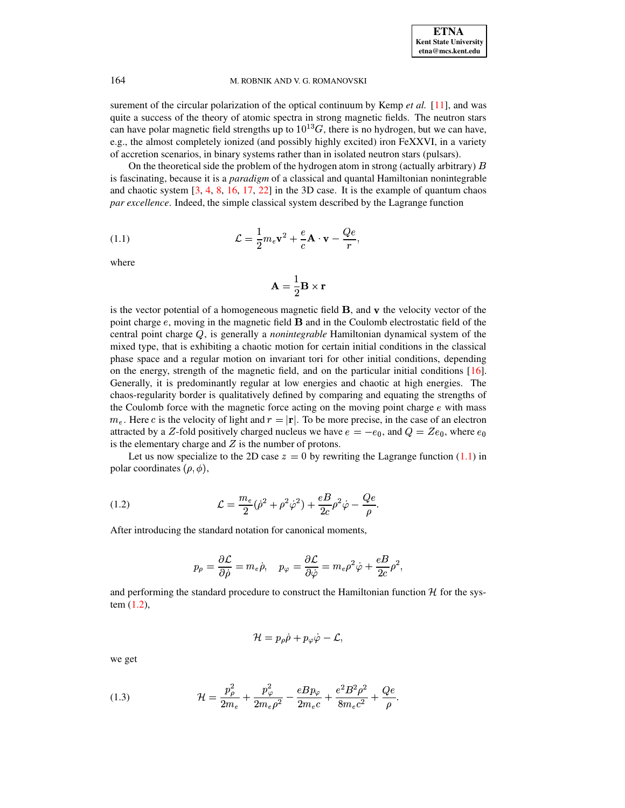surement of the circular polarization of the optical continuum by Kemp *et al.* [\[11\]](#page-13-11), and was quite a success of the theory of atomic spectra in strong magnetic fields. The neutron stars can have polar magnetic field strengths up to  $10^{13}G$ , there is no hydrogen, but we can have, e.g., the almost completely ionized (and possibly highly excited) iron FeXXVI, in a variety of accretion scenarios, in binary systems rather than in isolated neutron stars (pulsars).

On the theoretical side the problem of the hydrogen atom in strong (actually arbitrary)  $B$ is fascinating, because it is a *paradigm* of a classical and quantal Hamiltonian nonintegrable and chaotic system [\[3,](#page-13-12) [4,](#page-13-1) [8,](#page-13-2) [16,](#page-13-3) [17,](#page-13-4) [22\]](#page-13-13) in the 3D case. It is the example of quantum chaos *par excellence*. Indeed, the simple classical system described by the Lagrange function

<span id="page-1-0"></span>(1.1) 
$$
\mathcal{L} = \frac{1}{2} m_e \mathbf{v}^2 + \frac{e}{c} \mathbf{A} \cdot \mathbf{v} - \frac{Qe}{r},
$$

where

$$
\mathbf{A} = \frac{1}{2}\mathbf{B} \times \mathbf{r}
$$

is the vector potential of a homogeneous magnetic field  $\bf{B}$ , and  $\bf{v}$  the velocity vector of the point charge  $e$ , moving in the magnetic field  $\bf{B}$  and in the Coulomb electrostatic field of the central point charge Q, is generally a *nonintegrable* Hamiltonian dynamical system of the mixed type, that is exhibiting a chaotic motion for certain initial conditions in the classical phase space and a regular motion on invariant tori for other initial conditions, depending on the energy, strength of the magnetic field, and on the particular initial conditions [\[16\]](#page-13-3). Generally, it is predominantly regular at low energies and chaotic at high energies. The chaos-regularity border is qualitatively defined by comparing and equating the strengths of the Coulomb force with the magnetic force acting on the moving point charge  $e$  with mass  $m_e$ . Here c is the velocity of light and  $r = |\mathbf{r}|$ . To be more precise, in the case of an electron attracted by a Z-fold positively charged nucleus we have  $e = -e_0$ , and  $Q = Ze_0$ , where  $e_0$ is the elementary charge and  $Z$  is the number of protons.

Let us now specialize to the 2D case  $z = 0$  by rewriting the Lagrange function [\(1.1\)](#page-1-0) in polar coordinates  $(\rho, \phi)$ ,

<span id="page-1-1"></span>(1.2) 
$$
\mathcal{L} = \frac{m_e}{2} (\dot{\rho}^2 + \rho^2 \dot{\varphi}^2) + \frac{eB}{2c} \rho^2 \dot{\varphi} - \frac{Qe}{\rho}.
$$

After introducing the standard notation for canonical moments,

$$
p_\rho=\frac{\partial \mathcal{L}}{\partial \dot{\rho}}=m_e\dot{\rho},\quad p_\varphi=\frac{\partial \mathcal{L}}{\partial \dot{\varphi}}=m_e\rho^2\dot{\varphi}+\frac{eB}{2c}\rho^2,
$$

and performing the standard procedure to construct the Hamiltonian function  $\mathcal{H}$  for the system [\(1.2\)](#page-1-1),

$$
{\cal H}=p_\rho\dot\rho+p_\varphi\dot\varphi-{\cal L},
$$

we get

<span id="page-1-2"></span>(1.3) 
$$
\mathcal{H} = \frac{p_{\rho}^2}{2m_e} + \frac{p_{\varphi}^2}{2m_e\rho^2} - \frac{eBp_{\varphi}}{2m_ec} + \frac{e^2B^2\rho^2}{8m_ec^2} + \frac{Qe}{\rho}.
$$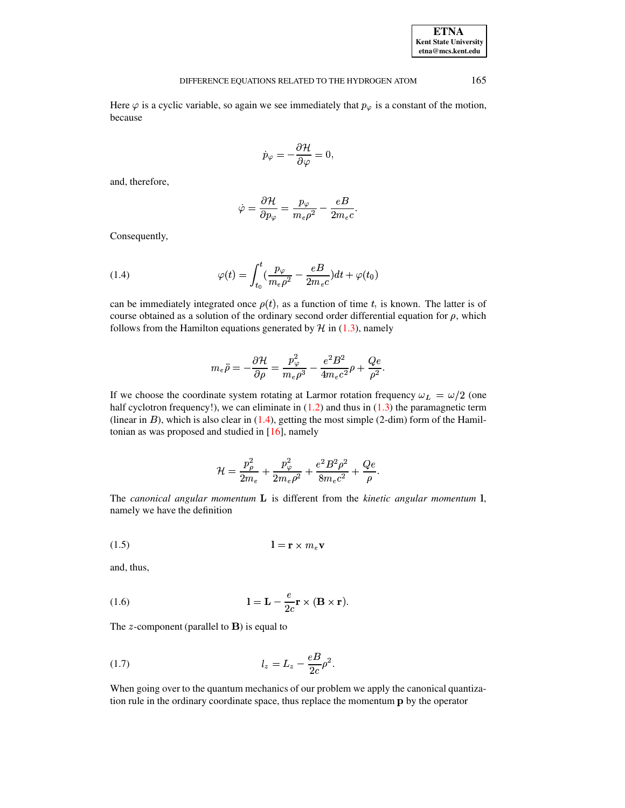| <b>ETNA</b>                  |
|------------------------------|
| <b>Kent State University</b> |
| etna@mcs.kent.edu            |

## DIFFERENCE EQUATIONS RELATED TO THE HYDROGEN ATOM 165

Here  $\varphi$  is a cyclic variable, so again we see immediately that  $p_{\varphi}$  is a constant of the motion, because

$$
\dot{p}_\varphi=-\frac{\partial \mathcal{H}}{\partial \varphi}=0,
$$

and, therefore,

$$
\dot{\varphi}=\frac{\partial \mathcal{H}}{\partial p_\varphi}=\frac{p_\varphi}{m_e \rho^2}-\frac{eB}{2m_e c}.
$$

Consequently,

<span id="page-2-0"></span>(1.4) 
$$
\varphi(t) = \int_{t_0}^t \left(\frac{p_{\varphi}}{m_e \rho^2} - \frac{eB}{2m_e c}\right) dt + \varphi(t_0)
$$

can be immediately integrated once  $\rho(t)$ , as a function of time t, is known. The latter is of course obtained as a solution of the ordinary second order differential equation for  $\rho$ , which follows from the Hamilton equations generated by  $H$  in [\(1.3\)](#page-1-2), namely

$$
m_e \ddot{\rho} = -\frac{\partial \mathcal{H}}{\partial \rho} = \frac{p_\varphi^2}{m_e \rho^3} - \frac{e^2 B^2}{4 m_e c^2} \rho + \frac{Q e}{\rho^2}.
$$

If we choose the coordinate system rotating at Larmor rotation frequency  $\omega_L = \omega/2$  (one half cyclotron frequency!), we can eliminate in  $(1.2)$  and thus in  $(1.3)$  the paramagnetic term (linear in  $B$ ), which is also clear in [\(1.4\)](#page-2-0), getting the most simple (2-dim) form of the Hamiltonian as was proposed and studied in [\[16\]](#page-13-3), namely

$$
\mathcal{H}=\frac{p_\rho^2}{2m_e}+\frac{p_\varphi^2}{2m_e\rho^2}+\frac{e^2B^2\rho^2}{8m_ec^2}+\frac{Qe}{\rho}.
$$

The *canonical angular momentum* **L** is different from the *kinetic angular momentum* **l**, namely we have the definition

(1.5) f" 2g0

and, thus,

<span id="page-2-1"></span>(1.6) 
$$
l = L - \frac{e}{2c} \mathbf{r} \times (\mathbf{B} \times \mathbf{r}).
$$

The *z*-component (parallel to  $\bf{B}$ ) is equal to

(1.7) 
$$
l_z = L_z - \frac{eB}{2c} \rho^2.
$$

When going over to the quantum mechanics of our problem we apply the canonical quantization rule in the ordinary coordinate space, thus replace the momentum p by the operator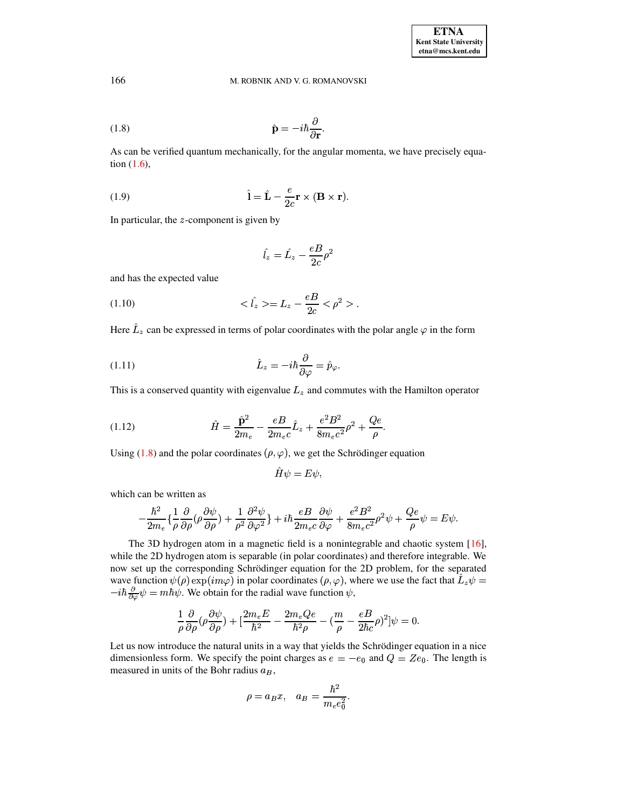<span id="page-3-0"></span>(1.8) 
$$
\hat{\mathbf{p}} = -i\hbar \frac{\partial}{\partial \mathbf{r}}.
$$

As can be verified quantum mechanically, for the angular momenta, we have precisely equation [\(1.6\)](#page-2-1),

(1.9) 
$$
\hat{\mathbf{l}} = \hat{\mathbf{L}} - \frac{e}{2c} \mathbf{r} \times (\mathbf{B} \times \mathbf{r}).
$$

In particular, the  $z$ -component is given by

$$
\hat{l_z}=\hat{L_z}-\frac{eB}{2c}\rho^2
$$

and has the expected value

(1.10) 
$$
\langle \hat{I}_z \rangle = L_z - \frac{eB}{2c} \langle \rho^2 \rangle.
$$

Here  $\hat{L}_z$  can be expressed in terms of polar coordinates with the polar angle  $\varphi$  in the form

(1.11) 
$$
\hat{L}_z = -i\hbar \frac{\partial}{\partial \varphi} = \hat{p}_{\varphi}.
$$

This is a conserved quantity with eigenvalue  $L<sub>z</sub>$  and commutes with the Hamilton operator

(1.12) 
$$
\hat{H} = \frac{\hat{\mathbf{p}}^2}{2m_e} - \frac{eB}{2m_ec}\hat{L}_z + \frac{e^2B^2}{8m_ec^2}\rho^2 + \frac{Qe}{\rho}.
$$

Using [\(1.8\)](#page-3-0) and the polar coordinates  $(\rho, \varphi)$ , we get the Schrödinger equation

$$
\hat{H}\psi=E\psi,
$$

which can be written as

$$
-\frac{\hbar^2}{2m_e}\{\frac{1}{\rho}\frac{\partial}{\partial\rho}(\rho\frac{\partial\psi}{\partial\rho})+\frac{1}{\rho^2}\frac{\partial^2\psi}{\partial\varphi^2}\}+i\hbar\frac{eB}{2m_ec}\frac{\partial\psi}{\partial\varphi}+\frac{e^2B^2}{8m_ec^2}\rho^2\psi+\frac{Qe}{\rho}\psi=E\psi.
$$

The 3D hydrogen atom in a magnetic field is a nonintegrable and chaotic system [\[16\]](#page-13-3), while the 2D hydrogen atom is separable (in polar coordinates) and therefore integrable. We now set up the corresponding Schrödinger equation for the 2D problem, for the separated wave function  $\psi(\rho) \exp(im\varphi)$  in polar coordinates  $(\rho, \varphi)$ , where we use the fact that  $\hat{L}_z\psi =$  $-i\hbar \frac{\partial}{\partial \varphi} \psi = m\hbar \psi$ . We obtain for the radial wave function  $\psi$ ,

$$
\frac{1}{\rho}\frac{\partial}{\partial \rho}(\rho \frac{\partial \psi}{\partial \rho}) + [\frac{2m_eE}{\hbar^2} - \frac{2m_eQe}{\hbar^2\rho} - (\frac{m}{\rho} - \frac{eB}{2\hbar c}\rho)^2]\psi = 0.
$$

Let us now introduce the natural units in a way that yields the Schrödinger equation in a nice dimensionless form. We specify the point charges as  $e = -e_0$  and  $Q = Ze_0$ . The length is measured in units of the Bohr radius  $a_B$ ,

$$
\rho=a_Bx,\quad a_B=\frac{\hbar^2}{m_e e_0^2}.
$$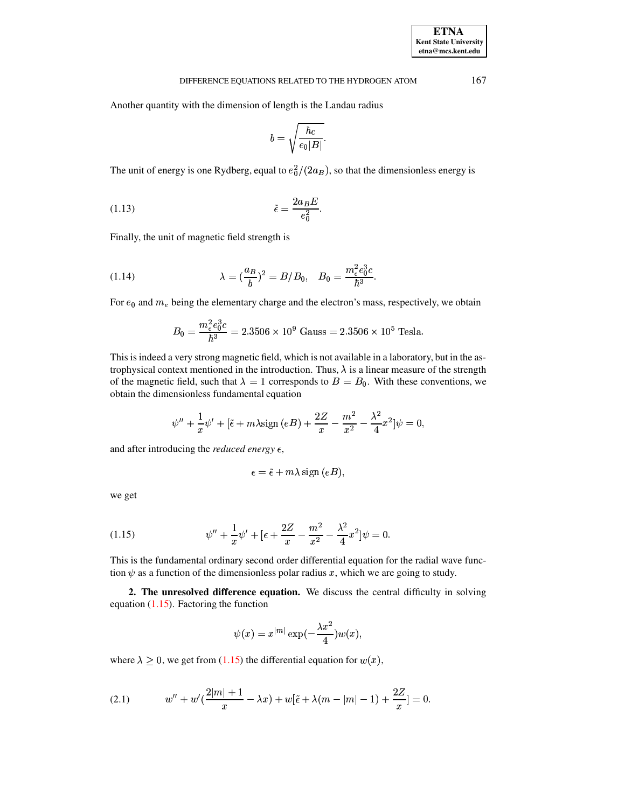Another quantity with the dimension of length is the Landau radius

$$
b=\sqrt{\frac{\hbar c}{e_0|B|}}.
$$

The unit of energy is one Rydberg, equal to  $e_0^2/(2a_B)$ , so that the dimensionless energy is

<span id="page-4-2"></span>
$$
(1.13)\qquad \qquad \tilde{\epsilon} = \frac{2a_B E}{e_0^2}.
$$

Finally, the unit of magnetic field strength is

<span id="page-4-3"></span>(1.14) 
$$
\lambda = \left(\frac{a_B}{b}\right)^2 = B/B_0, \quad B_0 = \frac{m_e^2 e_0^3 c}{\hbar^3}.
$$

For  $e_0$  and  $m_e$  being the elementary charge and the electron's mass, respectively, we obtain

$$
B_0 = \frac{m_e^2 e_0^3 c}{\hbar^3} = 2.3506 \times 10^9 \text{ Gauss} = 2.3506 \times 10^5 \text{ Tesla.}
$$

This is indeed a very strong magnetic field, which is not available in a laboratory, but in the astrophysical context mentioned in the introduction. Thus,  $\lambda$  is a linear measure of the strength of the magnetic field, such that  $\lambda = 1$  corresponds to  $B = B_0$ . With these conventions, we obtain the dimensionless fundamental equation

$$
\psi'' + \frac{1}{x}\psi' + [\tilde{\epsilon} + m\lambda \sin(eB) + \frac{2Z}{x} - \frac{m^2}{x^2} - \frac{\lambda^2}{4}x^2]\psi = 0,
$$

and after introducing the *reduced energy*  $\epsilon$ ,

$$
\epsilon = \tilde{\epsilon} + m\lambda \operatorname{sign}(eB),
$$

we get

<span id="page-4-0"></span>(1.15) 
$$
\psi'' + \frac{1}{x}\psi' + \left[\epsilon + \frac{2Z}{x} - \frac{m^2}{x^2} - \frac{\lambda^2}{4}x^2\right]\psi = 0.
$$

This is the fundamental ordinary second order differential equation for the radial wave function  $\psi$  as a function of the dimensionless polar radius x, which we are going to study.

**2. The unresolved difference equation.** We discuss the central difficulty in solving equation  $(1.15)$ . Factoring the function

$$
\psi(x)=x^{|m|}\exp(-\frac{\lambda x^2}{4})w(x),
$$

where  $\lambda \geq 0$ , we get from [\(1.15\)](#page-4-0) the differential equation for  $w(x)$ ,

<span id="page-4-1"></span>(2.1) 
$$
w'' + w'(\frac{2|m|+1}{x} - \lambda x) + w[\tilde{\epsilon} + \lambda(m-|m|-1) + \frac{2Z}{x}] = 0.
$$

**ETNA Kent State University etna@mcs.kent.edu**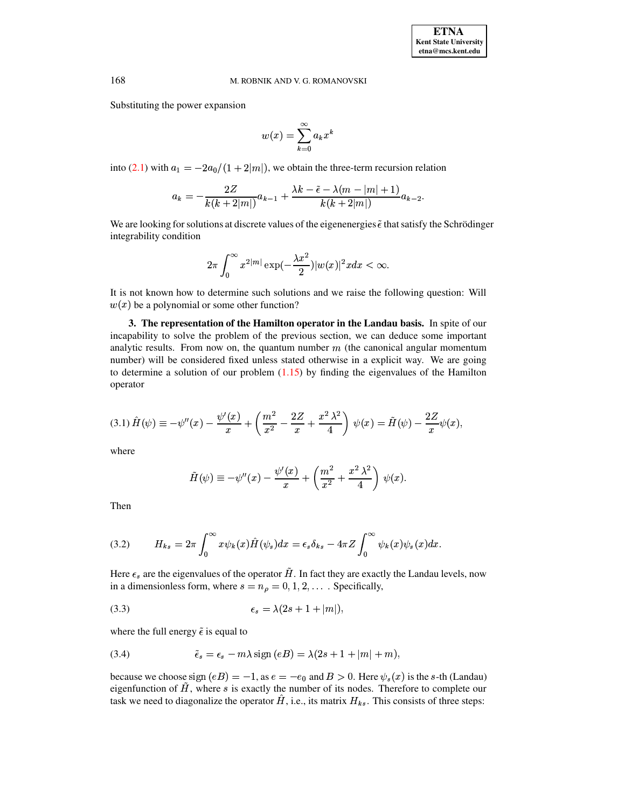Substituting the power expansion

$$
w(x) = \sum_{k=0}^{\infty} a_k x^k
$$

into [\(2.1\)](#page-4-1) with  $a_1 = -2a_0/(1+2|m|)$ , we obtain the three-term recursion relation

$$
a_k = -\frac{2Z}{k(k+2|m|)}a_{k-1} + \frac{\lambda k - \tilde{\epsilon} - \lambda(m-|m|+1)}{k(k+2|m|)}a_{k-2}.
$$

We are looking for solutions at discrete values of the eigenenergies  $\tilde{\epsilon}$  that satisfy the Schrödinger integrability condition

$$
2\pi\int_0^\infty x^{2|m|}\exp(-\frac{\lambda x^2}{2})|w(x)|^2xdx<\infty.
$$

It is not known how to determine such solutions and we raise the following question: Will  $w(x)$  be a polynomial or some other function?

**3. The representation of the Hamilton operator in the Landau basis.** In spite of our incapability to solve the problem of the previous section, we can deduce some important analytic results. From now on, the quantum number  $m$  (the canonical angular momentum number) will be considered fixed unless stated otherwise in a explicit way. We are going to determine a solution of our problem  $(1.15)$  by finding the eigenvalues of the Hamilton operator

<span id="page-5-2"></span>
$$
(3.1)\,\hat{H}(\psi) \equiv -\psi''(x) - \frac{\psi'(x)}{x} + \left(\frac{m^2}{x^2} - \frac{2Z}{x} + \frac{x^2\,\lambda^2}{4}\right)\,\psi(x) = \tilde{H}(\psi) - \frac{2Z}{x}\psi(x),
$$

where

$$
\tilde{H}(\psi) \equiv -\psi''(x) - \frac{\psi'(x)}{x} + \left(\frac{m^2}{x^2} + \frac{x^2\,\lambda^2}{4}\right)\,\psi(x).
$$

Then

<span id="page-5-0"></span>(3.2) 
$$
H_{ks} = 2\pi \int_0^\infty x \psi_k(x) \hat{H}(\psi_s) dx = \epsilon_s \delta_{ks} - 4\pi Z \int_0^\infty \psi_k(x) \psi_s(x) dx.
$$

Here  $\epsilon_s$  are the eigenvalues of the operator  $\tilde{H}$ . In fact they are exactly the Landau levels, now in a dimensionless form, where  $s = n_\rho = 0, 1, 2, \dots$ . Specifically,

<span id="page-5-1"></span>
$$
(3.3) \qquad \qquad \epsilon_s = \lambda(2s+1+|m|),
$$

where the full energy  $\tilde{\epsilon}$  is equal to

<span id="page-5-3"></span>(3.4) 
$$
\tilde{\epsilon}_s = \epsilon_s - m\lambda \operatorname{sign}(eB) = \lambda(2s + 1 + |m| + m),
$$

because we choose sign  $(eB) = -1$ , as  $e = -e_0$  and  $B > 0$ . Here  $\psi_s(x)$  is the s-th (Landau) eigenfunction of  $\tilde{H}$ , where s is exactly the number of its nodes. Therefore to complete our task we need to diagonalize the operator  $\hat{H}$ , i.e., its matrix  $H_{ks}$ . This consists of three steps: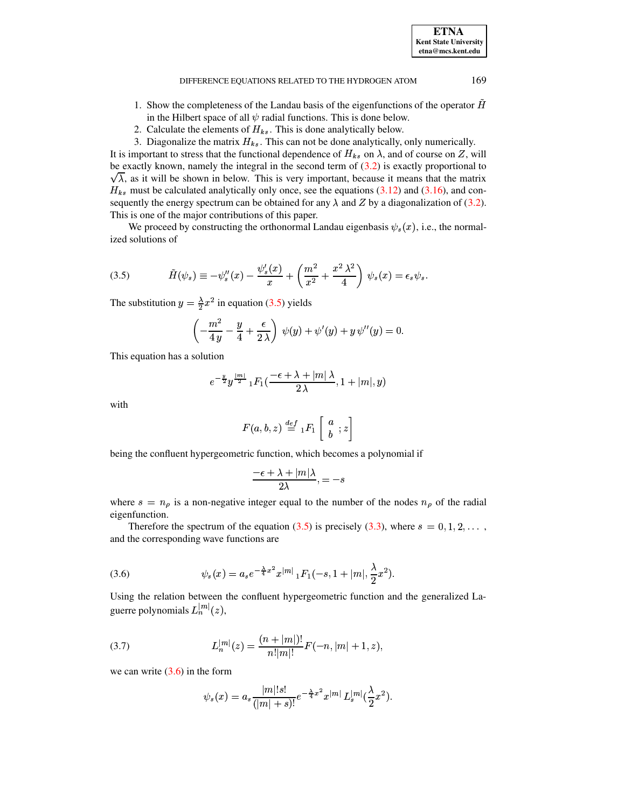#### DIFFERENCE EQUATIONS RELATED TO THE HYDROGEN ATOM

- 1. Show the completeness of the Landau basis of the eigenfunctions of the operator  $H$ in the Hilbert space of all  $\psi$  radial functions. This is done below.
- 2. Calculate the elements of  $H_{ks}$ . This is done analytically below.

3. Diagonalize the matrix  $H_{ks}$ . This can not be done analytically, only numerically.

It is important to stress that the functional dependence of  $H_{ks}$  on  $\lambda$ , and of course on Z, will be exactly known, namely the integral in the second term of  $(3.2)$  is exactly proportional to  $\sqrt{\lambda}$ , as it will be shown in below. This is very important, because it means that the matrix  $H_{ks}$  must be calculated analytically only once, see the equations (3.12) and (3.16), and consequently the energy spectrum can be obtained for any  $\lambda$  and Z by a diagonalization of (3.2). This is one of the major contributions of this paper.

We proceed by constructing the orthonormal Landau eigenbasis  $\psi_s(x)$ , i.e., the normalized solutions of

<span id="page-6-0"></span>(3.5) 
$$
\tilde{H}(\psi_s) \equiv -\psi_s''(x) - \frac{\psi_s'(x)}{x} + \left(\frac{m^2}{x^2} + \frac{x^2 \lambda^2}{4}\right) \psi_s(x) = \epsilon_s \psi_s
$$

The substitution  $y = \frac{\lambda}{2}x^2$  in equation (3.5) yields

$$
\left(-\frac{m^2}{4y} - \frac{y}{4} + \frac{\epsilon}{2\lambda}\right)\psi(y) + \psi'(y) + y\psi''(y) = 0
$$

This equation has a solution

$$
e^{-\frac{y}{2}}y^{\frac{|m|}{2}} {_1F_1}(\frac{-\epsilon+\lambda+|m|\,\lambda}{2\,\lambda},1+|m|,y)
$$

with

$$
F(a, b, z) \stackrel{def}{=} {}_1F_1 \left[ \begin{array}{c} a \\ b \end{array}; z \right]
$$

being the confluent hypergeometric function, which becomes a polynomial if

$$
\frac{-\epsilon + \lambda + |m|\lambda}{2\lambda}, = -s
$$

where  $s = n_{\rho}$  is a non-negative integer equal to the number of the nodes  $n_{\rho}$  of the radial eigenfunction.

Therefore the spectrum of the equation (3.5) is precisely (3.3), where  $s = 0, 1, 2, \dots$ , and the corresponding wave functions are

<span id="page-6-1"></span>(3.6) 
$$
\psi_s(x) = a_s e^{-\frac{\lambda}{4}x^2} x^{|m|} {}_1F_1(-s, 1+|m|, \frac{\lambda}{2}x^2).
$$

Using the relation between the confluent hypergeometric function and the generalized Laguerre polynomials  $L_n^{|m|}(z)$ ,

(3.7) 
$$
L_n^{|m|}(z) = \frac{(n+|m|)!}{n!|m|!} F(-n, |m|+1, z),
$$

we can write  $(3.6)$  in the form

$$
\psi_s(x) = a_s \frac{|m|!s!}{(|m|+s)!} e^{-\frac{\lambda}{4}x^2} x^{|m|} L_s^{|m|} (\frac{\lambda}{2}x^2).
$$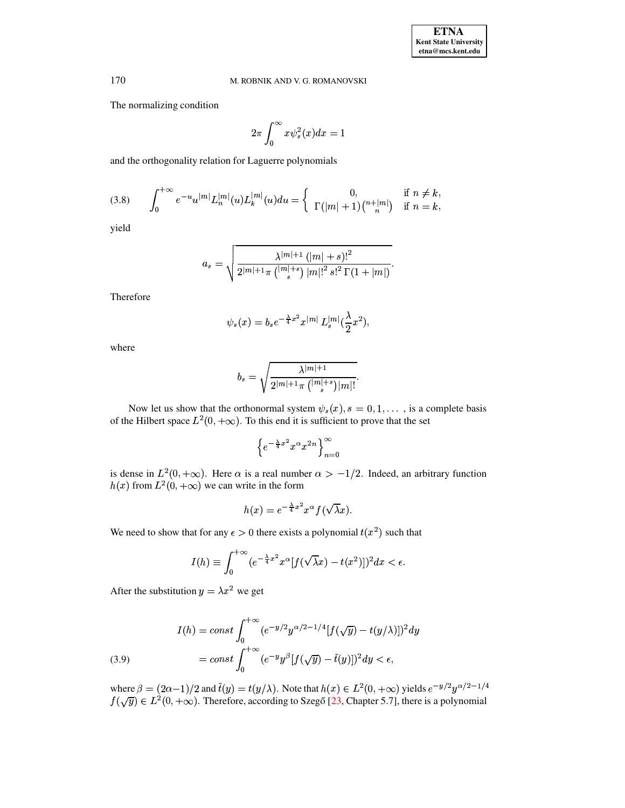The normalizing condition

$$
2\pi \int_0^\infty x \psi_s^2(x) dx = 1
$$

and the orthogonality relation for Laguerre polynomials

<span id="page-7-1"></span>(3.8) 
$$
\int_0^{+\infty} e^{-u} u^{|m|} L_n^{|m|} (u) L_k^{|m|} (u) du = \begin{cases} 0, & \text{if } n \neq k, \\ \Gamma(|m|+1) {n+|m|} & \text{if } n = k, \end{cases}
$$

yield

$$
a_s = \sqrt{\frac{\lambda^{|m|+1} (|m|+s)!^2}{2^{|m|+1} \pi \binom{|m|+s}{s} |m|!^2 s!^2 \Gamma(1+|m|)}}.
$$

Therefore

$$
\psi_s(x)=b_se^{-\frac{\lambda}{4}x^2}x^{|m|}L_s^{|m|}(\frac{\lambda}{2}x^2),
$$

where

$$
b_s = \sqrt{\frac{\lambda^{|m|+1}}{2^{|m|+1}\pi \, {(|m|+s) \choose s} |m|!}}.
$$

Now let us show that the orthonormal system  $\psi_s(x)$ ,  $s = 0, 1, \dots$ , is a complete basis of the Hilbert space  $L^2(0, +\infty)$ . To this end it is sufficient to prove that the set

$$
\left\{e^{-\frac{\lambda}{4}x^2}x^{\alpha}x^{2n}\right\}_{n=0}^{\infty}
$$

is dense in  $L^2(0, +\infty)$ . Here  $\alpha$  is a real number  $\alpha > -1/2$ . Indeed, an arbitrary function  $h(x)$  from  $L^2(0, +\infty)$  we can write in the form

$$
h(x) = e^{-\frac{\lambda}{4}x^2} x^{\alpha} f(\sqrt{\lambda}x).
$$

We need to show that for any  $\epsilon > 0$  there exists a polynomial  $t(x^2)$  such that

$$
I(h) \equiv \int_0^{+\infty} (e^{-\frac{\lambda}{4}x^2} x^{\alpha} [f(\sqrt{\lambda}x) - t(x^2)])^2 dx < \epsilon.
$$

After the substitution  $y = \lambda x^2$  we get

<span id="page-7-0"></span>(3.9) 
$$
I(h) = const \int_0^{+\infty} (e^{-y/2} y^{\alpha/2 - 1/4} [f(\sqrt{y}) - t(y/\lambda)])^2 dy
$$

$$
= const \int_0^{+\infty} (e^{-y} y^{\beta} [f(\sqrt{y}) - \tilde{t}(y)])^2 dy < \epsilon,
$$

where  $\beta = (2\alpha - 1)/2$  and  $\tilde{t}(y) = t(y/\lambda)$ . Note that  $h(x) \in L^2(0, +\infty)$  yields  $e^{-y/2}y^{\alpha/2 - 1/4}$ <br> $f(\sqrt{y}) \in L^2(0, +\infty)$ . Therefore, according to Szegő [23, Chapter 5.7], there is a polynomial

170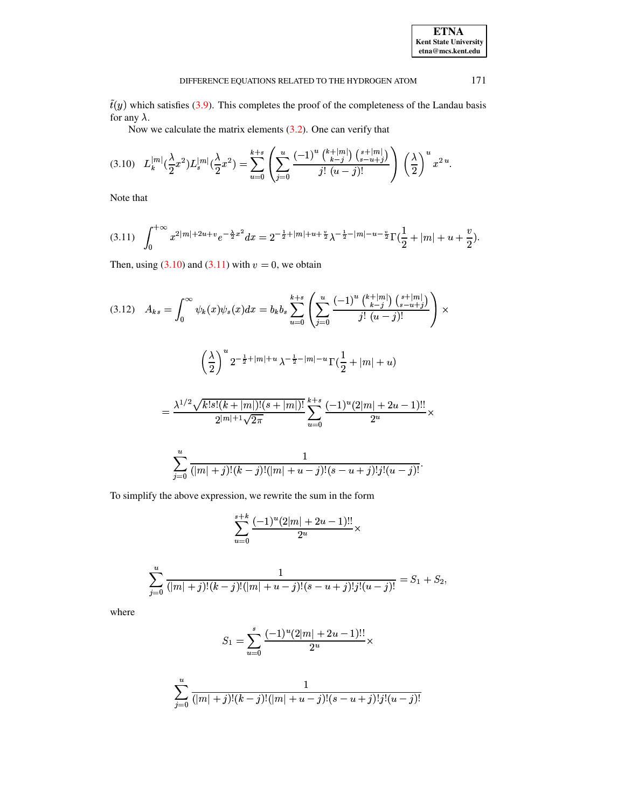| <b>ETNA</b>                  |
|------------------------------|
| <b>Kent State University</b> |
| etna@mcs.kent.edu            |

 $\tilde{t}(y)$  which satisfies (3.9). This completes the proof of the completeness of the Landau basis for any  $\lambda$ .

Now we calculate the matrix elements  $(3.2)$ . One can verify that

<span id="page-8-1"></span>
$$
(3.10) \quad L_k^{|m|}(\frac{\lambda}{2}x^2)L_s^{|m|}(\frac{\lambda}{2}x^2) = \sum_{u=0}^{k+s} \left( \sum_{j=0}^u \frac{(-1)^u \binom{k+|m|}{k-j} \binom{s+|m|}{s-u+j}}{j! \ (u-j)!} \right) \left( \frac{\lambda}{2} \right)^u x^{2u}.
$$

Note that

<span id="page-8-2"></span>
$$
(3.11) \quad \int_0^{+\infty} x^{2|m|+2u+v} e^{-\frac{\lambda}{2}x^2} dx = 2^{-\frac{1}{2}+|m|+u+\frac{v}{2}} \lambda^{-\frac{1}{2}-|m|-u-\frac{v}{2}} \Gamma(\frac{1}{2}+|m|+u+\frac{v}{2}).
$$

Then, using  $(3.10)$  and  $(3.11)$  with  $v = 0$ , we obtain

<span id="page-8-0"></span>
$$
(3.12) \quad A_{ks} = \int_0^\infty \psi_k(x)\psi_s(x)dx = b_kb_s \sum_{u=0}^{k+s} \left( \sum_{j=0}^u \frac{(-1)^u \binom{k+|m|}{k-j} \binom{s+|m|}{s-u+j}}{j! \ (u-j)!} \right) \times \left( \frac{\lambda}{2} \right)^u 2^{-\frac{1}{2}+|m|+u} \lambda^{-\frac{1}{2}-|m|-u} \Gamma(\frac{1}{2}+|m|+u) = \frac{\lambda^{1/2} \sqrt{k! s! (k+|m|)!(s+|m|)!}}{2^{|m|+1} \sqrt{2\pi}} \sum_{u=0}^{k+s} \frac{(-1)^u (2|m|+2u-1)!!}{2^u} \times \sum_{j=0}^u \frac{1}{(|m|+j)!(k-j)!(|m|+u-j)!(s-u+j)! j!(u-j)!}.
$$

To simplify the above expression, we rewrite the sum in the form

$$
\sum_{u=0}^{s+k} \frac{(-1)^u (2|m|+2u-1)!!}{2^u} \times
$$

$$
\sum_{j=0}^{u} \frac{1}{(|m|+j)!(k-j)!(|m|+u-j)!(s-u+j)!j!(u-j)!} = S_1 + S_2,
$$

where

$$
S_1 = \sum_{u=0}^{s} \frac{(-1)^u (2|m| + 2u - 1)!!}{2^u} \times
$$

$$
\sum_{j=0}^{u} \frac{1}{(|m|+j)!(k-j)!(|m|+u-j)!(s-u+j)!j!(u-j)!}
$$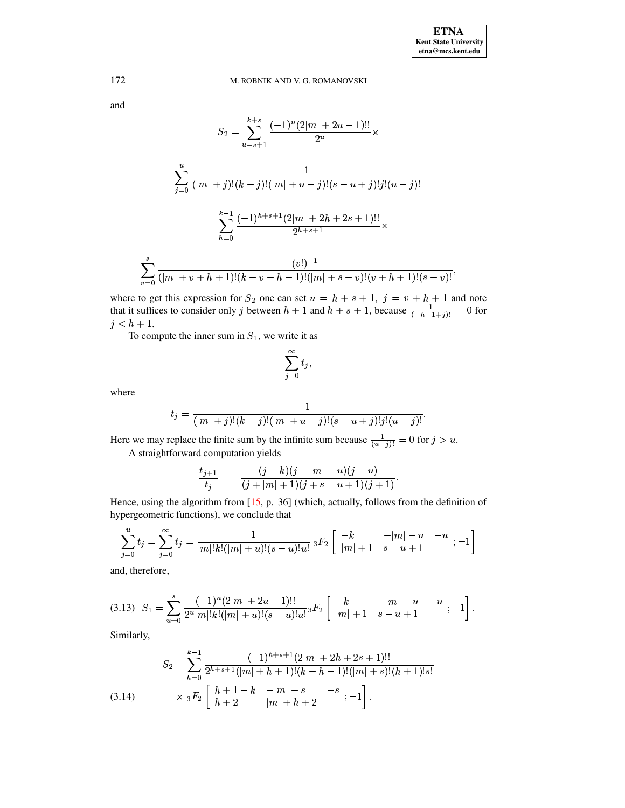and

$$
S_2 = \sum_{u=s+1}^{k+s} \frac{(-1)^u (2|m| + 2u - 1)!!}{2^u} \times
$$
  

$$
\sum_{j=0}^u \frac{1}{(|m| + j)!(k - j)!(|m| + u - j)!(s - u + j)!j!(u - j)!}
$$
  

$$
= \sum_{h=0}^{k-1} \frac{(-1)^{h+s+1} (2|m| + 2h + 2s + 1)!!}{2^{h+s+1}} \times
$$
  

$$
\sum_{v=0}^s \frac{(v!)^{-1}}{(|m| + v + h + 1)!(k - v - h - 1)!(|m| + s - v)!(v + h + 1)!(s - v)!},
$$

where to get this expression for  $S_2$  one can set  $u = h + s + 1$ ,  $j = v + h + 1$  and note that it suffices to consider only j between  $h + 1$  and  $h + s + 1$ , because  $\frac{1}{(-h-1+j)!} = 0$  for  $j < h + 1$ .

To compute the inner sum in  $S_1$ , we write it as

$$
\sum_{j=0}^{\infty} t_j,
$$

where

$$
t_j = \frac{1}{(|m|+j)!(k-j)!(|m|+u-j)!(s-u+j)!j!(u-j)!}
$$

Here we may replace the finite sum by the infinite sum because  $\frac{1}{(u-j)!} = 0$  for  $j > u$ . A straightforward computation yields

$$
\frac{t_{j+1}}{t_j} = -\frac{(j-k)(j-|m|-u)(j-u)}{(j+|m|+1)(j+s-u+1)(j+1)}
$$

Hence, using the algorithm from [15, p. 36] (which, actually, follows from the definition of hypergeometric functions), we conclude that

$$
\sum_{j=0}^{u} t_j = \sum_{j=0}^{\infty} t_j = \frac{1}{|m|!k!(|m|+u)!(s-u)!u!} {}_3F_2 \left[ \begin{array}{|c} -k & -|m|-u & -u \\ |m|+1 & s-u+1 \end{array} ; -1 \right]
$$

and, therefore,

<span id="page-9-0"></span>
$$
(3.13)\ \ S_1 = \sum_{u=0}^s \frac{(-1)^u (2|m| + 2u - 1)!!}{2^u |m|! k! (|m| + u)! (s - u)! u!} {}_3F_2 \left[ \begin{array}{ccc} -k & -|m| - u & -u \\ |m| + 1 & s - u + 1 \end{array}; -1 \right]
$$

Similarly,

<span id="page-9-1"></span>
$$
S_2 = \sum_{h=0}^{k-1} \frac{(-1)^{h+s+1}(2|m|+2h+2s+1)!!}{2^{h+s+1}(|m|+h+1)!(k-h-1)!(|m|+s)!(h+1)!s!}
$$
  
(3.14) 
$$
\times {}_3F_2 \begin{bmatrix} h+1-k & -|m|-s & -s \\ h+2 & |m|+h+2 & -1 \end{bmatrix}.
$$

172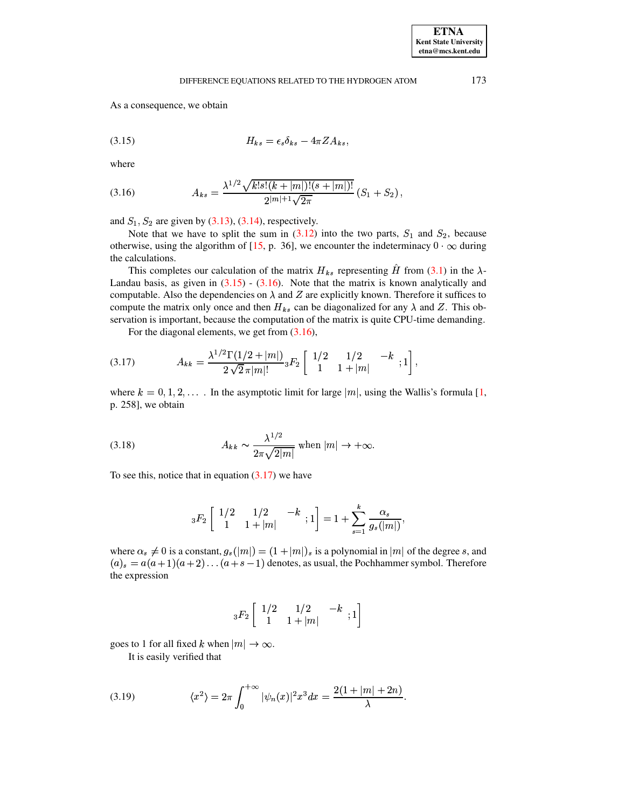### <span id="page-10-1"></span>DIFFERENCE EQUATIONS RELATED TO THE HYDROGEN ATOM

As a consequence, we obtain

$$
(3.15) \t\t\t H_{ks} = \epsilon_s \delta_{ks} - 4\pi Z A_{ks}
$$

where

<span id="page-10-0"></span>(3.16) 
$$
A_{ks} = \frac{\lambda^{1/2} \sqrt{k! s! (k + |m|)! (s + |m|)!}}{2^{|m|+1} \sqrt{2\pi}} (S_1 + S_2),
$$

and  $S_1$ ,  $S_2$  are given by (3.13), (3.14), respectively.

Note that we have to split the sum in  $(3.12)$  into the two parts,  $S_1$  and  $S_2$ , because otherwise, using the algorithm of [15, p. 36], we encounter the indeterminacy  $0 \cdot \infty$  during the calculations.

This completes our calculation of the matrix  $H_{ks}$  representing  $\hat{H}$  from (3.1) in the  $\lambda$ -Landau basis, as given in  $(3.15)$  -  $(3.16)$ . Note that the matrix is known analytically and computable. Also the dependencies on  $\lambda$  and Z are explicitly known. Therefore it suffices to compute the matrix only once and then  $H_{ks}$  can be diagonalized for any  $\lambda$  and Z. This observation is important, because the computation of the matrix is quite CPU-time demanding.

For the diagonal elements, we get from  $(3.16)$ ,

<span id="page-10-2"></span>
$$
(3.17) \t A_{kk} = \frac{\lambda^{1/2} \Gamma(1/2 + |m|)}{2 \sqrt{2} \pi |m|!} {}_3F_2 \begin{bmatrix} 1/2 & 1/2 & -k \\ 1 & 1 + |m| & 1 \end{bmatrix},
$$

where  $k = 0, 1, 2, \ldots$ . In the asymptotic limit for large  $|m|$ , using the Wallis's formula [1, p. 258], we obtain

<span id="page-10-4"></span>(3.18) 
$$
A_{kk} \sim \frac{\lambda^{1/2}}{2\pi\sqrt{2|m|}} \text{ when } |m| \to +\infty.
$$

To see this, notice that in equation  $(3.17)$  we have

$$
{}_{3}F_{2}\left[\begin{array}{cc} 1/2 & 1/2 & -k \\ 1 & 1+|m| & \end{array};1\right] = 1 + \sum_{s=1}^{k} \frac{\alpha_{s}}{g_{s}(|m|)},
$$

where  $\alpha_s \neq 0$  is a constant,  $g_s(|m|) = (1 + |m|)_s$  is a polynomial in |m| of the degree s, and  $(a)_s = a(a+1)(a+2)...(a+s-1)$  denotes, as usual, the Pochhammer symbol. Therefore the expression

$$
{}_3F_2\left[\begin{array}{cc}1/2 & 1/2 & -k \\1 & 1+|m| & \end{array};1\right]
$$

goes to 1 for all fixed k when  $|m| \to \infty$ .

It is easily verified that

<span id="page-10-3"></span>(3.19) 
$$
\langle x^2 \rangle = 2\pi \int_0^{+\infty} |\psi_n(x)|^2 x^3 dx = \frac{2(1+|m|+2n)}{\lambda}.
$$

173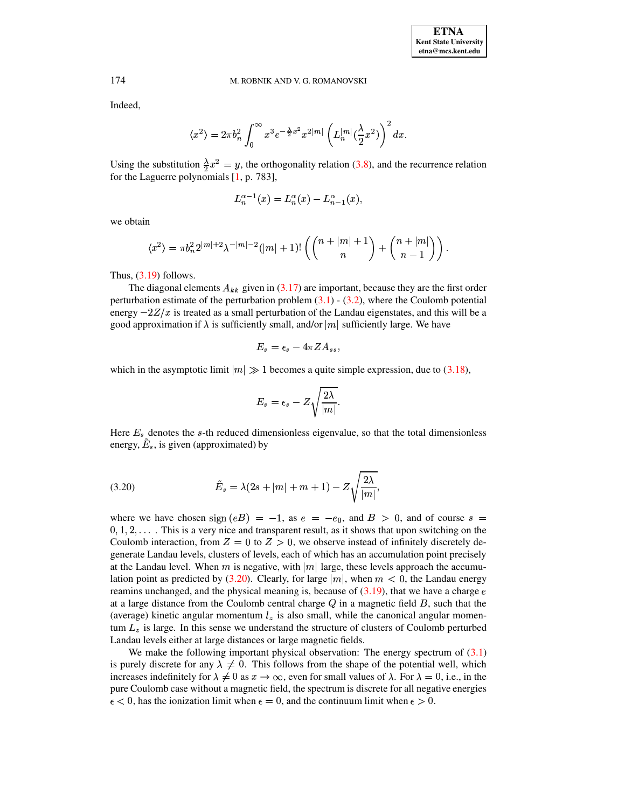Indeed,

$$
\langle x^2\rangle=2\pi b_n^2\int_0^\infty x^3e^{-\frac{\lambda}{2}x^2}x^{2|m|}\left(L_n^{|m|}(\frac{\lambda}{2}x^2)\right)^2dx.
$$

Using the substitution  $\frac{\lambda}{2}x^2 = y$ , the orthogonality relation [\(3.8\)](#page-7-1), and the recurrence relation for the Laguerre polynomials [\[1,](#page-13-16) p. 783],

$$
L_n^{\alpha-1}(x)=L_n^{\alpha}(x)-L_{n-1}^{\alpha}(x),
$$

we obtain

$$
\langle x^2 \rangle = \pi b_n^2 2^{|m|+2} \lambda^{-|m|-2} (|m|+1)! \left( \binom{n+|m|+1}{n} + \binom{n+|m|}{n-1} \right).
$$

Thus,  $(3.19)$  follows.

The diagonal elements  $A_{kk}$  given in [\(3.17\)](#page-10-2) are important, because they are the first order perturbation estimate of the perturbation problem  $(3.1)$  -  $(3.2)$ , where the Coulomb potential energy  $-2Z/x$  is treated as a small perturbation of the Landau eigenstates, and this will be a good approximation if  $\lambda$  is sufficiently small, and/or  $|m|$  sufficiently large. We have

$$
E_s = \epsilon_s - 4\pi Z A_{ss},
$$

which in the asymptotic limit  $|m| \gg 1$  becomes a quite simple expression, due to [\(3.18\)](#page-10-4),

$$
E_s = \epsilon_s - Z \sqrt{\frac{2 \lambda}{|m|}}.
$$

Here  $E_s$  denotes the s-th reduced dimensionless eigenvalue, so that the total dimensionless energy,  $\tilde{E}_s$ , is given (approximated) by

<span id="page-11-0"></span>(3.20) 
$$
\tilde{E}_s = \lambda (2s + |m| + m + 1) - Z \sqrt{\frac{2\lambda}{|m|}},
$$

where we have chosen  $\text{sign}(eB) = -1$ , as  $e = -e_0$ , and  $B > 0$ , and of course  $s =$  $0, 1, 2, \ldots$ . This is a very nice and transparent result, as it shows that upon switching on the Coulomb interaction, from  $Z = 0$  to  $Z > 0$ , we observe instead of infinitely discretely degenerate Landau levels, clusters of levels, each of which has an accumulation point precisely <sup>t</sup> at the Landau level. When  $m$  is negative, with  $|m|$  large, these levels approach the accumu-lation point as predicted by [\(3.20\)](#page-11-0). Clearly, for large  $|m|$ , when  $m < 0$ , the Landau energy reamins unchanged, and the physical meaning is, because of  $(3.19)$ , that we have a charge  $\epsilon$ at a large distance from the Coulomb central charge  $Q$  in a magnetic field  $B$ , such that the (average) kinetic angular momentum  $l<sub>z</sub>$  is also small, while the canonical angular momentum  $L_z$  is large. In this sense we understand the structure of clusters of Coulomb perturbed Landau levels either at large distances or large magnetic fields.

We make the following important physical observation: The energy spectrum of  $(3.1)$ is purely discrete for any  $\lambda \neq 0$ . This follows from the shape of the potential well, which increases indefinitely for  $\lambda \neq 0$  as  $x \to \infty$ by the same problem. The energy operator of (3.1)<br>
3. This follows from the shape of the potential well, which<br>
as  $x \to \infty$ , even for small values of  $\lambda$ . For  $\lambda = 0$ , i.e., in the pure Coulomb case without a magnetic field, the spectrum is discrete for all negative energies  $\frac{1}{2}$ 0, has the ionization limit when  $\epsilon = 0$ , and the continuum limit when  $\epsilon > 0$ .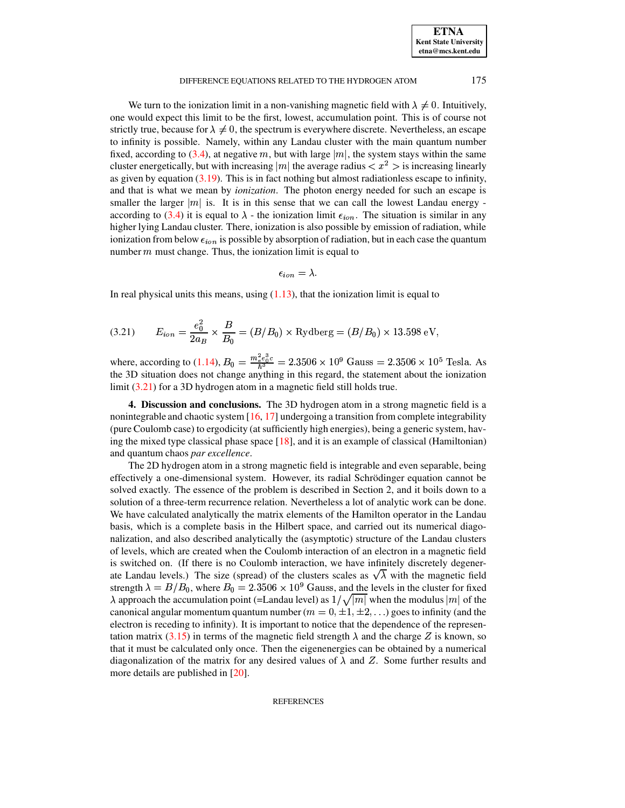**ETNA Kent State University etna@mcs.kent.edu**

## DIFFERENCE EQUATIONS RELATED TO THE HYDROGEN ATOM 175

We turn to the ionization limit in a non-vanishing magnetic field with  $\lambda \neq 0$ . Intuitively, one would expect this limit to be the first, lowest, accumulation point. This is of course not strictly true, because for  $\lambda \neq 0$ , the spectrum is everywhere discrete. Nevertheless, an escape to infinity is possible. Namely, within any Landau cluster with the main quantum number fixed, according to [\(3.4\)](#page-5-3), at negative m, but with large  $|m|$ , the system stays within the same fixed, according to (3.4), at negative m, but with large  $|m|$ , the system stays within the same<br>cluster energetically, but with increasing  $|m|$  the average radius  $\langle x^2 \rangle$  is increasing linearly as given by equation  $(3.19)$ . This is in fact nothing but almost radiationless escape to infinity, and that is what we mean by *ionization*. The photon energy needed for such an escape is smaller the larger  $|m|$  is. It is in this sense that we can call the lowest Landau energy according to [\(3.4\)](#page-5-3) it is equal to  $\lambda$  - the ionization limit  $\epsilon_{ion}$ . The situation is similar in any higher lying Landau cluster. There, ionization is also possible by emission of radiation, while ionization from below  $\epsilon_{ion}$  is possible by absorption of radiation, but in each case the quantum number  $m$  must change. Thus, the ionization limit is equal to

$$
\epsilon_{ion}=\lambda.
$$

In real physical units this means, using  $(1.13)$ , that the ionization limit is equal to

<span id="page-12-0"></span>(3.21) 
$$
E_{ion} = \frac{e_0^2}{2a_B} \times \frac{B}{B_0} = (B/B_0) \times \text{Rydberg} = (B/B_0) \times 13.598 \text{ eV},
$$

where, according to [\(1.14\)](#page-4-3),  $B_0 = \frac{m_e e_0 c}{\hbar^3} = 2.3506 \times 10^9$  Gauss =  $2.3506 \times 10^5$  Tesla. As esla. As the 3D situation does not change anything in this regard, the statement about the ionization limit [\(3.21\)](#page-12-0) for a 3D hydrogen atom in a magnetic field still holds true.

**4. Discussion and conclusions.** The 3D hydrogen atom in a strong magnetic field is a nonintegrable and chaotic system  $[16, 17]$  $[16, 17]$  $[16, 17]$  undergoing a transition from complete integrability (pure Coulomb case) to ergodicity (at sufficiently high energies), being a generic system, having the mixed type classical phase space  $[18]$ , and it is an example of classical (Hamiltonian) and quantum chaos *par excellence*.

The 2D hydrogen atom in a strong magnetic field is integrable and even separable, being effectively a one-dimensional system. However, its radial Schrödinger equation cannot be solved exactly. The essence of the problem is described in Section 2, and it boils down to a solution of a three-term recurrence relation. Nevertheless a lot of analytic work can be done. We have calculated analytically the matrix elements of the Hamilton operator in the Landau basis, which is a complete basis in the Hilbert space, and carried out its numerical diagonalization, and also described analytically the (asymptotic) structure of the Landau clusters of levels, which are created when the Coulomb interaction of an electron in a magnetic field is switched on. (If there is no Coulomb interaction, we have infinitely discretely degenerate Landau levels.) The size (spread) of the clusters scales as  $\sqrt{\lambda}$  with the magnetic field strength  $\lambda = B/B_0$ , where  $B_0 = 2.3506 \times 10^9$  Gauss, and the levels in the cluster for fixed  $\lambda$  approach the accumulation point (=Landau level) as  $1/\sqrt{|m|}$  when the modulus  $|m|$  of the canonical angular momentum quantum number ( $m = 0, \pm 1, \pm 2, \ldots$ ) goes to infinity (and the electron is receding to infinity). It is important to notice that the dependence of the represen-tation matrix [\(3.15\)](#page-10-1) in terms of the magnetic field strength  $\lambda$  and the charge Z is known, so that it must be calculated only once. Then the eigenenergies can be obtained by a numerical diagonalization of the matrix for any desired values of  $\lambda$  and Z. Some further results and more details are published in [\[20\]](#page-13-18).

**REFERENCES**